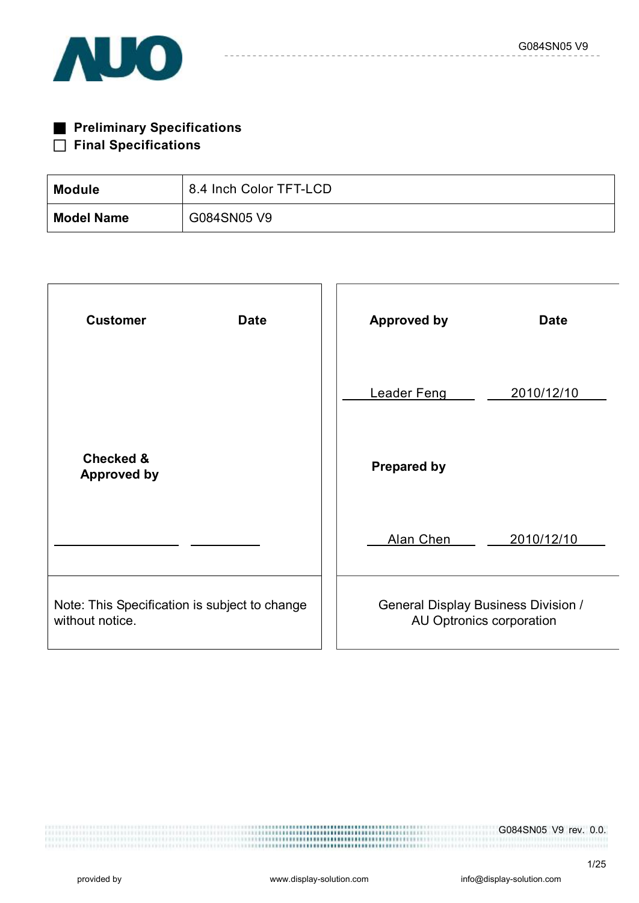

| <b>Preliminary Specifications</b> |
|-----------------------------------|
| $\Box$ Final Specifications       |

| <b>Module</b>     | 8.4 Inch Color TFT-LCD |
|-------------------|------------------------|
| <b>Model Name</b> | G084SN05 V9            |

| <b>Customer</b><br><b>Date</b>                                   | <b>Approved by</b><br><b>Date</b>                                      |
|------------------------------------------------------------------|------------------------------------------------------------------------|
|                                                                  | 2010/12/10<br><b>Leader Feng</b>                                       |
| <b>Checked &amp;</b><br><b>Approved by</b>                       | <b>Prepared by</b>                                                     |
|                                                                  | Alan Chen<br>2010/12/10                                                |
| Note: This Specification is subject to change<br>without notice. | <b>General Display Business Division /</b><br>AU Optronics corporation |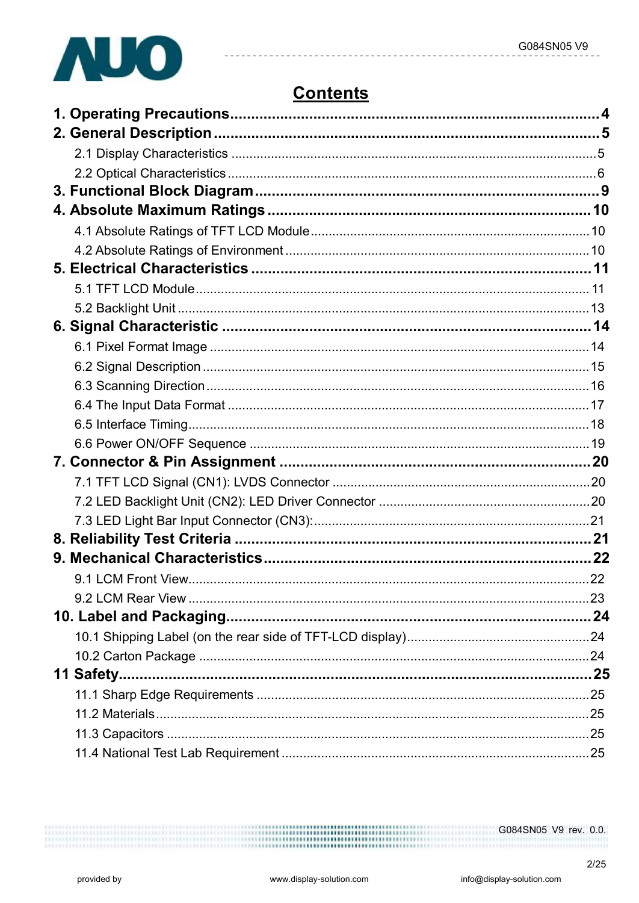

# **Contents**

 $2/25$ 

................... ....................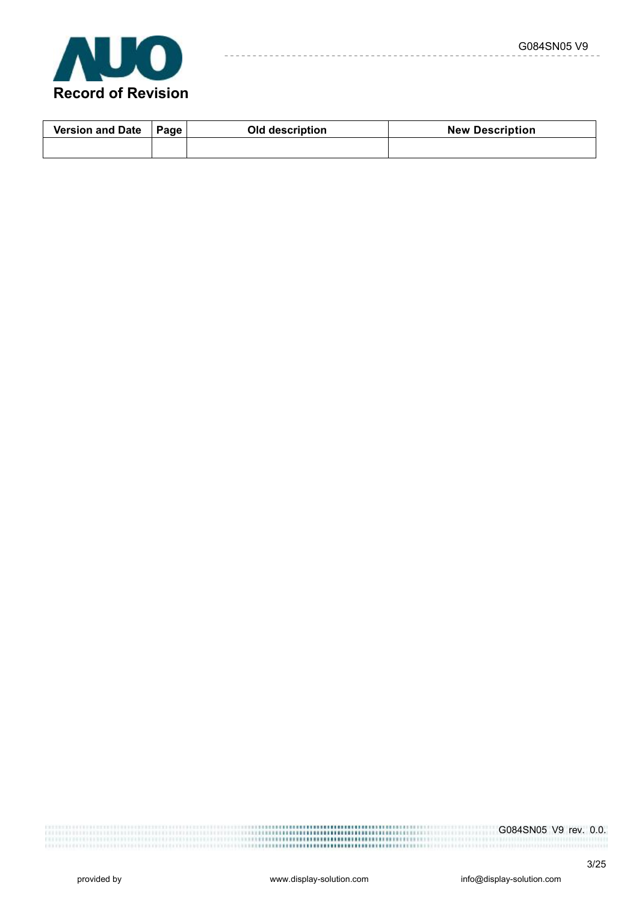

| <b>Version and Date</b><br>Page |  | Old description | <b>New Description</b> |
|---------------------------------|--|-----------------|------------------------|
|                                 |  |                 |                        |

 $- - - - -$ 

G084SN05 V9 rev. 0.0. ,,,,,,,,,,,,,,,,,,, ,,,,,,,,,,,,,,,,,,,,,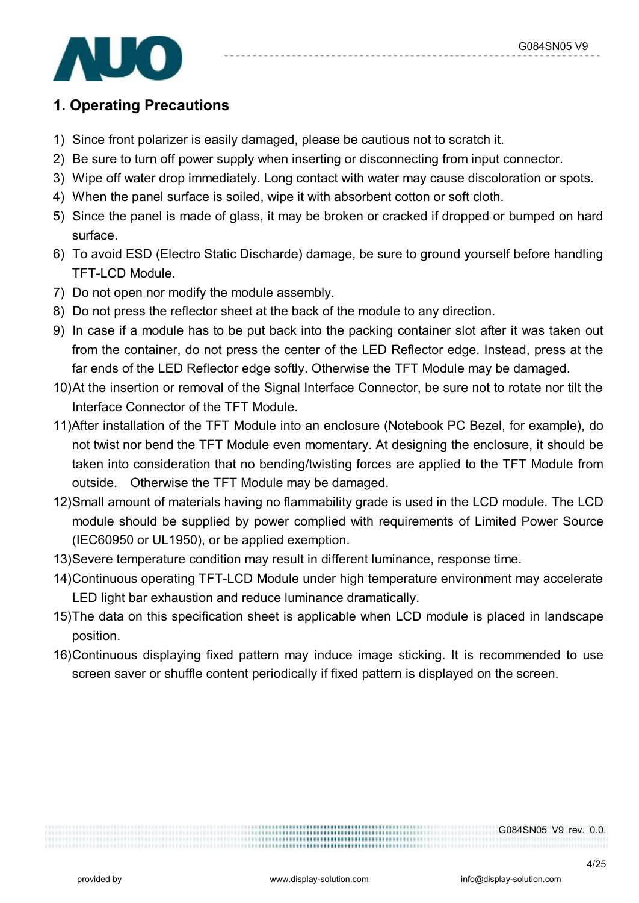

## **1. Operating Precautions**

- 1) Since front polarizer is easily damaged, please be cautious not to scratch it.
- 2) Be sure to turn off power supply when inserting or disconnecting from input connector.
- 3) Wipe off water drop immediately. Long contact with water may cause discoloration or spots.
- 4) When the panel surface is soiled, wipe it with absorbent cotton or soft cloth.
- 5) Since the panel is made of glass, it may be broken or cracked if dropped or bumped on hard surface.
- 6) To avoid ESD (Electro Static Discharde) damage, be sure to ground yourself before handling TFT-LCD Module.
- 7) Do not open nor modify the module assembly.
- 8) Do not press the reflector sheet at the back of the module to any direction.
- 9) In case if a module has to be put back into the packing container slot after it was taken out from the container, do not press the center of the LED Reflector edge. Instead, press at the far ends of the LED Reflector edge softly. Otherwise the TFT Module may be damaged.
- 10)At the insertion or removal of the Signal Interface Connector, be sure not to rotate nor tilt the Interface Connector of the TFT Module.
- 11)After installation of the TFT Module into an enclosure (Notebook PC Bezel, for example), do not twist nor bend the TFT Module even momentary. At designing the enclosure, it should be taken into consideration that no bending/twisting forces are applied to the TFT Module from outside. Otherwise the TFT Module may be damaged.
- 12)Small amount of materials having no flammability grade is used in the LCD module. The LCD module should be supplied by power complied with requirements of Limited Power Source (IEC60950 or UL1950), or be applied exemption.
- 13)Severe temperature condition may result in different luminance, response time.
- 14)Continuous operating TFT-LCD Module under high temperature environment may accelerate LED light bar exhaustion and reduce luminance dramatically.
- 15)The data on this specification sheet is applicable when LCD module is placed in landscape position.
- 16)Continuous displaying fixed pattern may induce image sticking. It is recommended to use screen saver or shuffle content periodically if fixed pattern is displayed on the screen.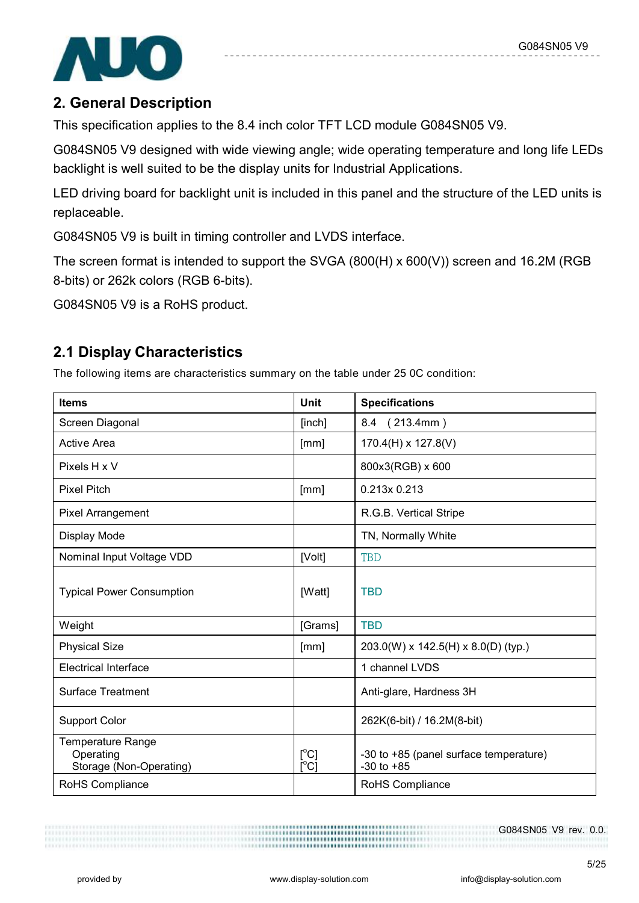

## **2. General Description**

This specification applies to the 8.4 inch color TFT LCD module G084SN05 V9.

G084SN05 V9 designed with wide viewing angle; wide operating temperature and long life LEDs backlight is well suited to be the display units for Industrial Applications.

LED driving board for backlight unit is included in this panel and the structure of the LED units is replaceable.

G084SN05 V9 is built in timing controller and LVDS interface.

The screen format is intended to support the SVGA (800(H) x 600(V)) screen and 16.2M (RGB 8-bits) or 262k colors (RGB 6-bits).

G084SN05 V9 is a RoHS product.

## **2.1 Display Characteristics**

The following items are characteristics summary on the table under 25 0C condition:

| <b>Items</b>                                                     | <b>Unit</b>                             | <b>Specifications</b>                                    |
|------------------------------------------------------------------|-----------------------------------------|----------------------------------------------------------|
| Screen Diagonal                                                  | [inch]                                  | 8.4 (213.4mm)                                            |
| <b>Active Area</b>                                               | [mm]                                    | $170.4(H) \times 127.8(V)$                               |
| Pixels H x V                                                     |                                         | 800x3(RGB) x 600                                         |
| <b>Pixel Pitch</b>                                               | [mm]                                    | 0.213x 0.213                                             |
| <b>Pixel Arrangement</b>                                         |                                         | R.G.B. Vertical Stripe                                   |
| Display Mode                                                     |                                         | TN, Normally White                                       |
| Nominal Input Voltage VDD                                        | [Volt]                                  | <b>TBD</b>                                               |
| <b>Typical Power Consumption</b>                                 | [Watt]                                  | <b>TBD</b>                                               |
| Weight                                                           | [Grams]                                 | <b>TBD</b>                                               |
| <b>Physical Size</b>                                             | [mm]                                    | $203.0(W)$ x 142.5(H) x 8.0(D) (typ.)                    |
| <b>Electrical Interface</b>                                      |                                         | 1 channel LVDS                                           |
| <b>Surface Treatment</b>                                         |                                         | Anti-glare, Hardness 3H                                  |
| <b>Support Color</b>                                             |                                         | 262K(6-bit) / 16.2M(8-bit)                               |
| <b>Temperature Range</b><br>Operating<br>Storage (Non-Operating) | $[^{\circ}C]$<br>$\overline{C}^{\circ}$ | -30 to +85 (panel surface temperature)<br>$-30$ to $+85$ |
| RoHS Compliance                                                  |                                         | RoHS Compliance                                          |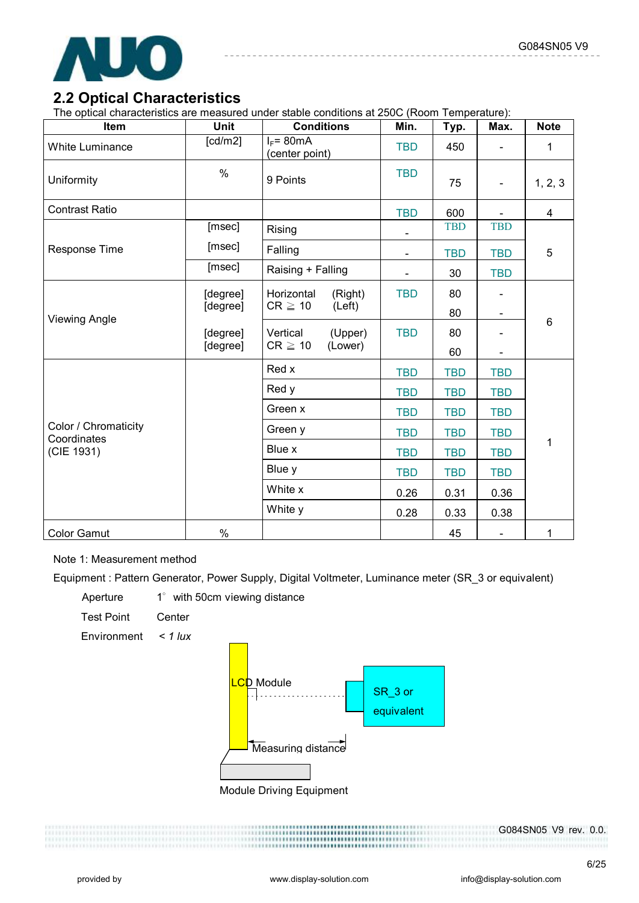

### **2.2 Optical Characteristics**

The optical characteristics are measured under stable conditions at 250C (Room Temperature):

| Item                                | Unit                                | <b>Conditions</b>              | Min.           | Typ.       | Max.                     | <b>Note</b>    |
|-------------------------------------|-------------------------------------|--------------------------------|----------------|------------|--------------------------|----------------|
| <b>White Luminance</b>              | [cd/m2]                             | $I_F$ = 80mA<br>(center point) | <b>TBD</b>     | 450        |                          | 1              |
| Uniformity                          | $\%$                                | 9 Points                       | <b>TBD</b>     | 75         | $\blacksquare$           | 1, 2, 3        |
| <b>Contrast Ratio</b>               |                                     |                                | <b>TBD</b>     | 600        |                          | $\overline{4}$ |
|                                     | [msec]                              | Rising                         | ÷,             | <b>TBD</b> | <b>TBD</b>               |                |
| Response Time                       | [msec]                              | Falling                        | $\blacksquare$ | <b>TBD</b> | <b>TBD</b>               | 5              |
|                                     | [msec]                              | Raising + Falling              |                | 30         | <b>TBD</b>               |                |
|                                     | [degree]                            | Horizontal<br>(Right)          | <b>TBD</b>     | 80         |                          |                |
| <b>Viewing Angle</b>                | [degree]                            | $CR \geq 10$<br>(Left)         |                | 80         | $\overline{\phantom{a}}$ |                |
|                                     | [degree]                            | (Upper)<br>Vertical            | <b>TBD</b>     | 80         |                          | 6              |
|                                     | $CR \geq 10$<br>[degree]<br>(Lower) |                                |                | 60         |                          |                |
|                                     |                                     | Red x                          | <b>TBD</b>     | <b>TBD</b> | <b>TBD</b>               |                |
|                                     |                                     | Red y                          | <b>TBD</b>     | <b>TBD</b> | <b>TBD</b>               |                |
|                                     |                                     | Green x                        | <b>TBD</b>     | <b>TBD</b> | <b>TBD</b>               |                |
| Color / Chromaticity<br>Coordinates |                                     | Green y                        | <b>TBD</b>     | <b>TBD</b> | <b>TBD</b>               |                |
| (CIE 1931)                          |                                     | Blue x                         | <b>TBD</b>     | <b>TBD</b> | <b>TBD</b>               | 1              |
|                                     |                                     | Blue y                         | <b>TBD</b>     | <b>TBD</b> | <b>TBD</b>               |                |
|                                     |                                     | White x                        | 0.26           | 0.31       | 0.36                     |                |
|                                     |                                     | White y                        | 0.28           | 0.33       | 0.38                     |                |
| <b>Color Gamut</b>                  | $\%$                                |                                |                | 45         |                          | 1              |

Note 1: Measurement method

Equipment : Pattern Generator, Power Supply, Digital Voltmeter, Luminance meter (SR\_3 or equivalent)

Aperture 1° with 50cm viewing distance Test Point Center

Environment *< 1 lux*



Module Driving Equipment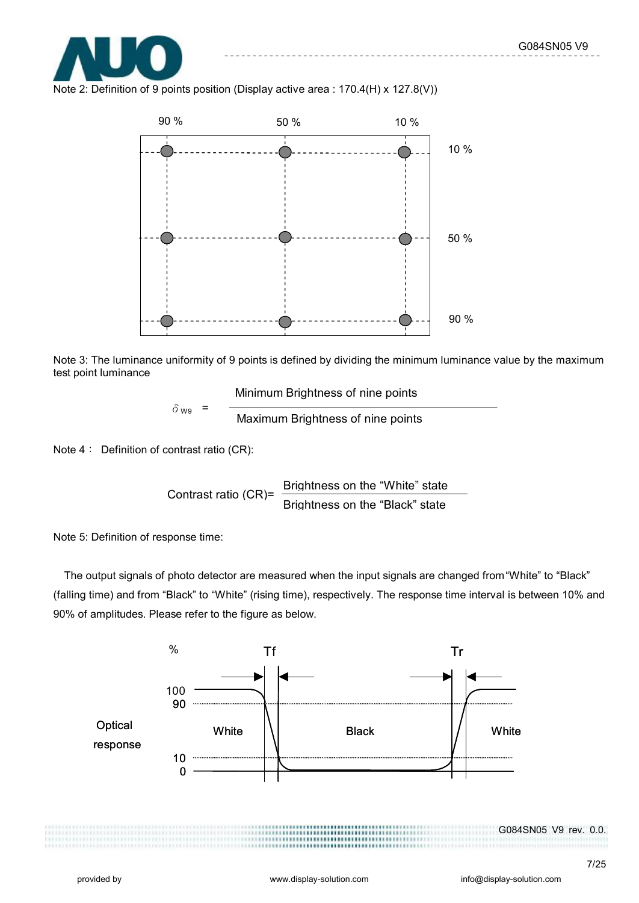

Note 2: Definition of 9 points position (Display active area : 170.4(H) x 127.8(V))



Note 3: The luminance uniformity of 9 points is defined by dividing the minimum luminance value by the maximum test point luminance

Minimum Brightness of nine points

 $\delta_{W9}$  =  $\frac{1}{2}$  Maximum Brightness of nine points

Note 4: Definition of contrast ratio (CR):

Contrast ratio (CR)= Brightness on the "White" state Brightness on the "Black" state

Note 5: Definition of response time:

The output signals of photo detector are measured when the input signals are changed from "White" to "Black" (falling time) and from "Black" to "White" (rising time), respectively. The response time interval is between 10% and 90% of amplitudes. Please refer to the figure as below.

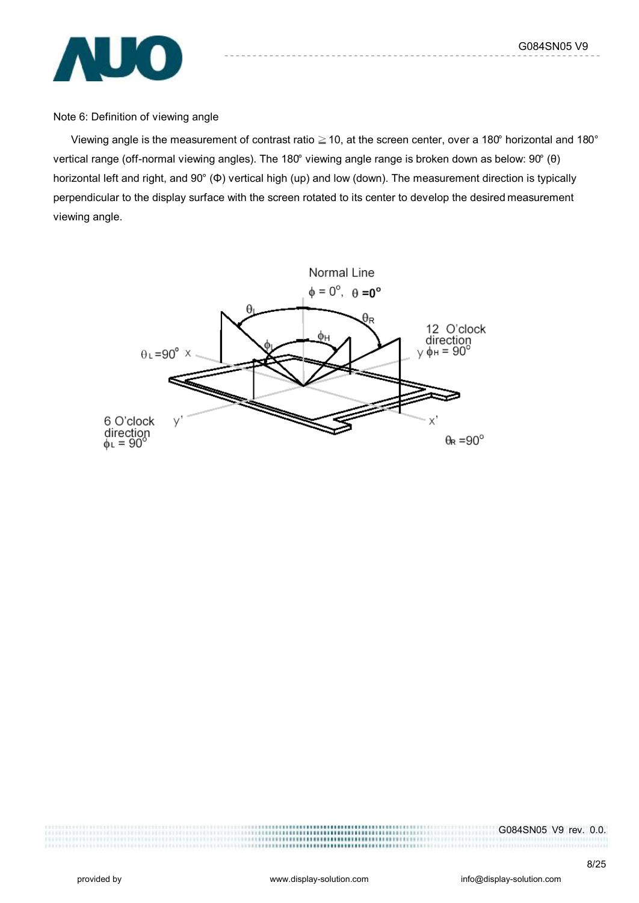G084SN05 V9



Note 6: Definition of viewing angle

Viewing angle is the measurement of contrast ratio ≧10, at the screen center, over a 180° horizontal and 180° vertical range (off-normal viewing angles). The 180° viewing angle range is broken down as below: 90° (θ) horizontal left and right, and 90° (Φ) vertical high (up) and low (down). The measurement direction is typically perpendicular to the display surface with the screen rotated to its center to develop the desired measurement viewing angle.



G084SN05 V9 rev. 0.0.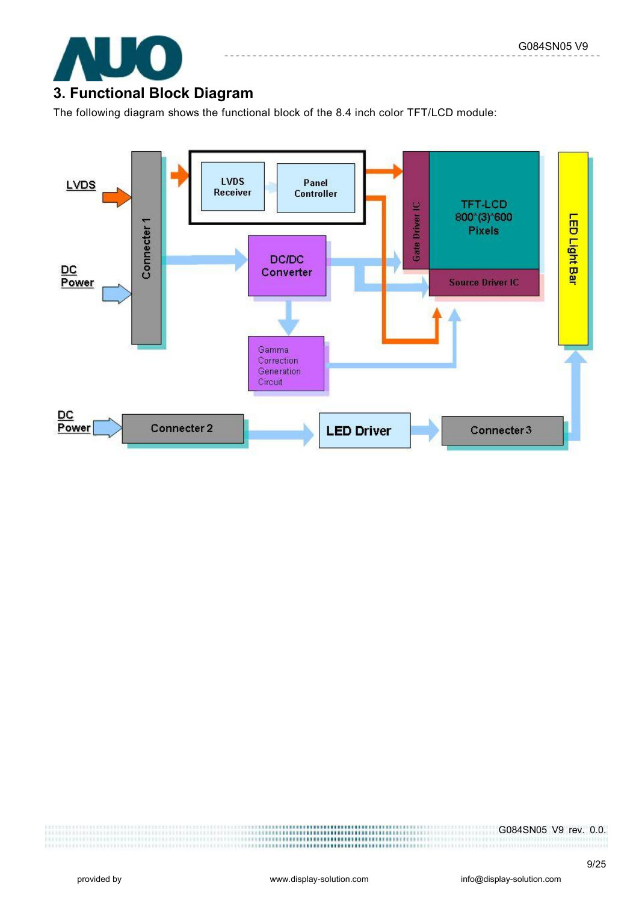

## **3. Functional Block Diagram**

The following diagram shows the functional block of the 8.4 inch color TFT/LCD module:

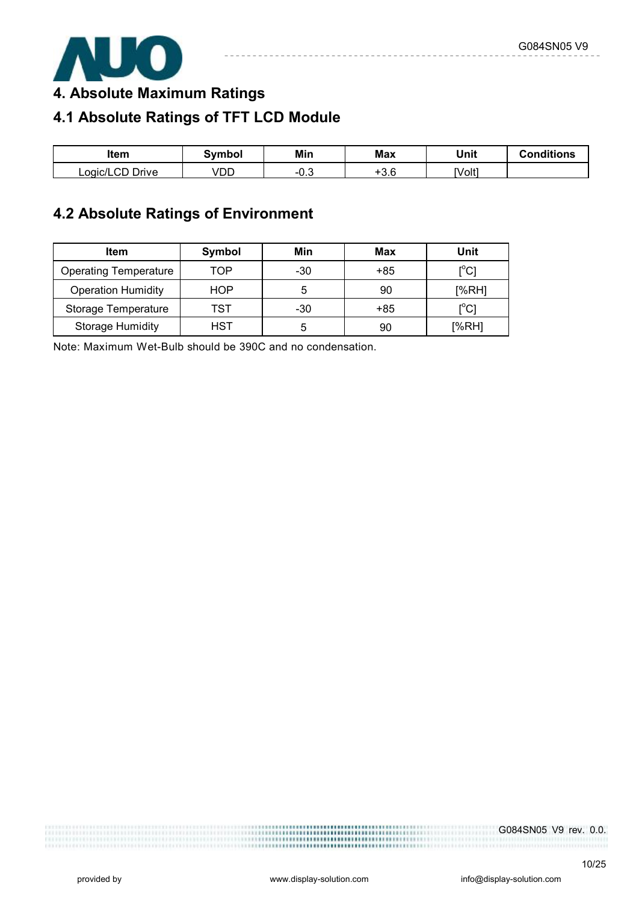

**4. Absolute Maximum Ratings** 

# **4.1 Absolute Ratings of TFT LCD Module**

| ltem             | Symbol | Min  | <b>Max</b>             | Unit   | <b>Conditions</b> |
|------------------|--------|------|------------------------|--------|-------------------|
| Drive<br>∟oqic/' | VDD    | −∪.◡ | $\cdot$ $\sim$<br>ن. ن | [Volt] |                   |

## **4.2 Absolute Ratings of Environment**

| <b>Item</b>                  | Symbol | Min   | Max | Unit                         |
|------------------------------|--------|-------|-----|------------------------------|
| <b>Operating Temperature</b> | TOP    | -30   | +85 | [°C]                         |
| <b>Operation Humidity</b>    | HOP    | 5     | 90  | [%RH]                        |
| Storage Temperature          | TST    | $-30$ | +85 | $\mathsf{I}^\circ\mathsf{C}$ |
| <b>Storage Humidity</b>      | HST    | 5     | 90  | [%RH]                        |

Note: Maximum Wet-Bulb should be 390C and no condensation.

G084SN05 V9 rev. 0.0.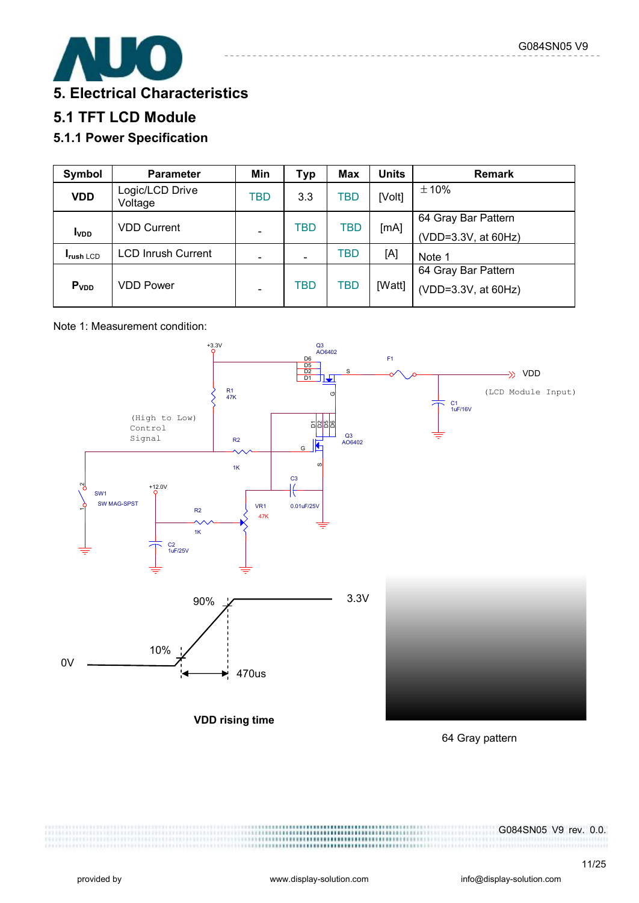

## **5. Electrical Characteristics**

## **5.1 TFT LCD Module**

## **5.1.1 Power Specification**

| Symbol                  | <b>Parameter</b>           | Min | <b>Typ</b> | <b>Max</b> | <b>Units</b> | <b>Remark</b>       |
|-------------------------|----------------------------|-----|------------|------------|--------------|---------------------|
| <b>VDD</b>              | Logic/LCD Drive<br>Voltage | TBD | 3.3        | TBD        | [Volt]       | ±10%                |
|                         | <b>VDD Current</b>         |     | TBD        | TBD        | [mA]         | 64 Gray Bar Pattern |
| <b>I</b> <sub>VDD</sub> |                            |     |            |            |              | (VDD=3.3V, at 60Hz) |
| <b>Irush LCD</b>        | <b>LCD Inrush Current</b>  |     |            | TBD        | [A]          | Note 1              |
|                         |                            |     |            |            |              | 64 Gray Bar Pattern |
| P <sub>VDD</sub>        | VDD Power                  |     | TBD        | <b>TBD</b> | [Watt]       | (VDD=3.3V, at 60Hz) |

#### Note 1: Measurement condition:



64 Gray pattern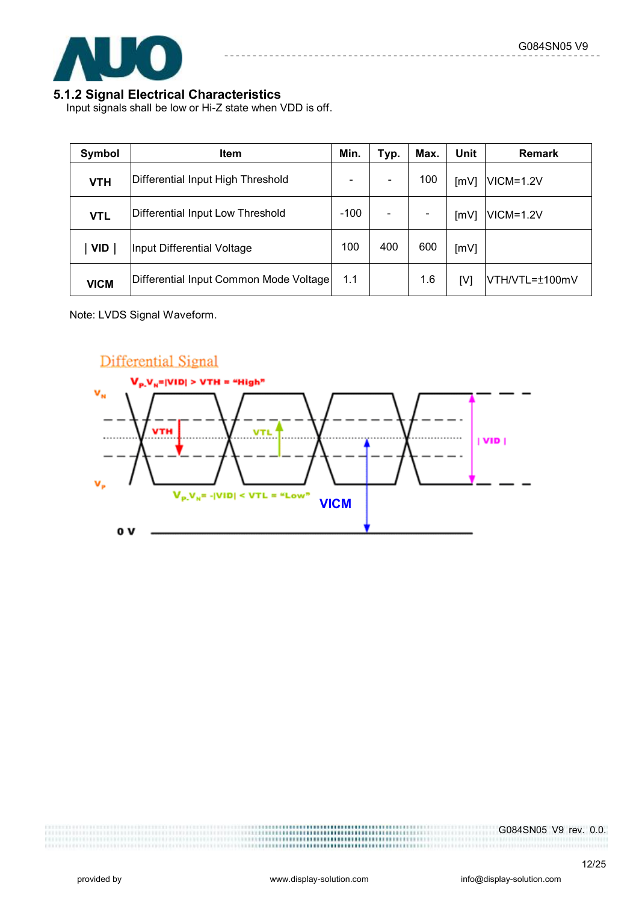

#### **5.1.2 Signal Electrical Characteristics**

Input signals shall be low or Hi-Z state when VDD is off.

| Symbol      | <b>Item</b>                            | Min.                     | Typ. | Max. | Unit | <b>Remark</b>  |
|-------------|----------------------------------------|--------------------------|------|------|------|----------------|
| <b>VTH</b>  | Differential Input High Threshold      | $\overline{\phantom{a}}$ |      | 100  | [mV] | $VICM = 1.2V$  |
| <b>VTL</b>  | Differential Input Low Threshold       | $-100$                   |      |      | [mV] | $VICM = 1.2V$  |
| <b>VID</b>  | Input Differential Voltage             | 100                      | 400  | 600  | [mV] |                |
| <b>VICM</b> | Differential Input Common Mode Voltage | 1.1                      |      | 1.6  | [V]  | VTH/VTL=±100mV |

Note: LVDS Signal Waveform.

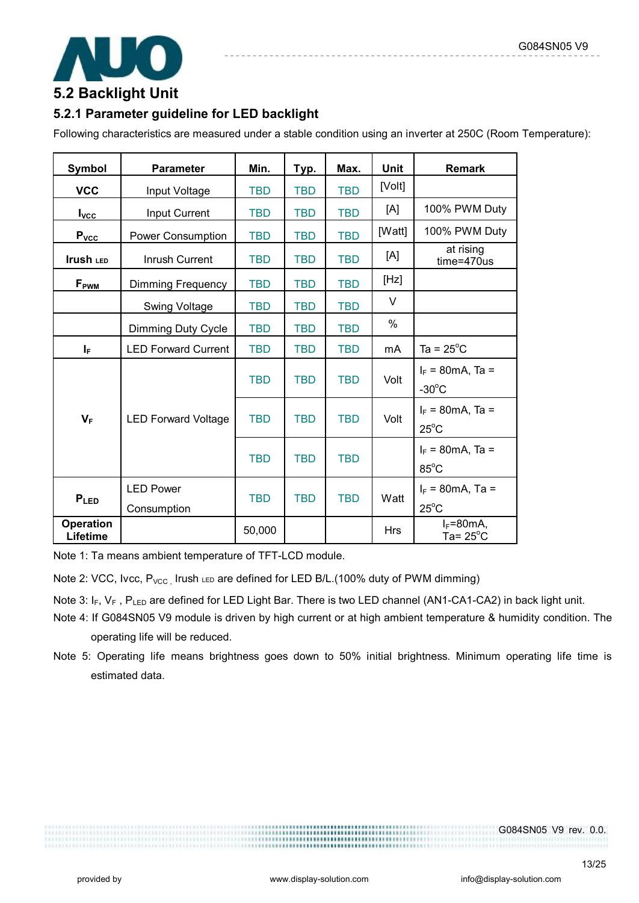

## **5.2 Backlight Unit**

### **5.2.1 Parameter guideline for LED backlight**

Following characteristics are measured under a stable condition using an inverter at 250C (Room Temperature):

| <b>Symbol</b>         | <b>Parameter</b>                | Min.       | Typ.       | Max.       | <b>Unit</b>   | <b>Remark</b>                                  |
|-----------------------|---------------------------------|------------|------------|------------|---------------|------------------------------------------------|
| <b>VCC</b>            | Input Voltage                   | <b>TBD</b> | <b>TBD</b> | <b>TBD</b> | [Volt]        |                                                |
| $I_{\text{VCC}}$      | Input Current                   | <b>TBD</b> | <b>TBD</b> | <b>TBD</b> | [A]           | 100% PWM Duty                                  |
| $P_{\underline{VCC}}$ | Power Consumption               | <b>TBD</b> | <b>TBD</b> | <b>TBD</b> | [Watt]        | 100% PWM Duty                                  |
| Irush LED             | Inrush Current                  | <b>TBD</b> | <b>TBD</b> | <b>TBD</b> | [A]           | at rising<br>$time = 470us$                    |
| F <sub>PWM</sub>      | <b>Dimming Frequency</b>        | <b>TBD</b> | <b>TBD</b> | <b>TBD</b> | [Hz]          |                                                |
|                       | <b>Swing Voltage</b>            | <b>TBD</b> | <b>TBD</b> | <b>TBD</b> | $\vee$        |                                                |
|                       | Dimming Duty Cycle              | <b>TBD</b> | <b>TBD</b> | <b>TBD</b> | $\frac{0}{0}$ |                                                |
| $I_{\rm F}$           | <b>LED Forward Current</b>      | <b>TBD</b> | <b>TBD</b> | <b>TBD</b> | mA            | Ta = $25^{\circ}$ C                            |
|                       |                                 | <b>TBD</b> | <b>TBD</b> | <b>TBD</b> | Volt          | $I_F = 80 \text{mA}$ , Ta =<br>$-30^{\circ}$ C |
| $V_F$                 | <b>LED Forward Voltage</b>      | <b>TBD</b> | <b>TBD</b> | <b>TBD</b> | Volt          | $I_F = 80 \text{mA}$ , Ta =<br>$25^{\circ}$ C  |
|                       |                                 | <b>TBD</b> | <b>TBD</b> | <b>TBD</b> |               | $I_F = 80 \text{mA}$ , Ta =<br>$85^{\circ}$ C  |
| PLED                  | <b>LED Power</b><br>Consumption | <b>TBD</b> | <b>TBD</b> | <b>TBD</b> | Watt          | $I_F = 80 \text{mA}$ , Ta =<br>$25^{\circ}$ C  |
| Operation<br>Lifetime |                                 | 50,000     |            |            | <b>Hrs</b>    | $I_F = 80mA$<br>Ta= $25^{\circ}$ C             |

Note 1: Ta means ambient temperature of TFT-LCD module.

Note 2: VCC, Ivcc,  $P_{VCC}$ , Irush LED are defined for LED B/L.(100% duty of PWM dimming)

Note 3: I<sub>F</sub>, V<sub>F</sub>, P<sub>LED</sub> are defined for LED Light Bar. There is two LED channel (AN1-CA1-CA2) in back light unit.

- Note 4: If G084SN05 V9 module is driven by high current or at high ambient temperature & humidity condition. The operating life will be reduced.
- Note 5: Operating life means brightness goes down to 50% initial brightness. Minimum operating life time is estimated data.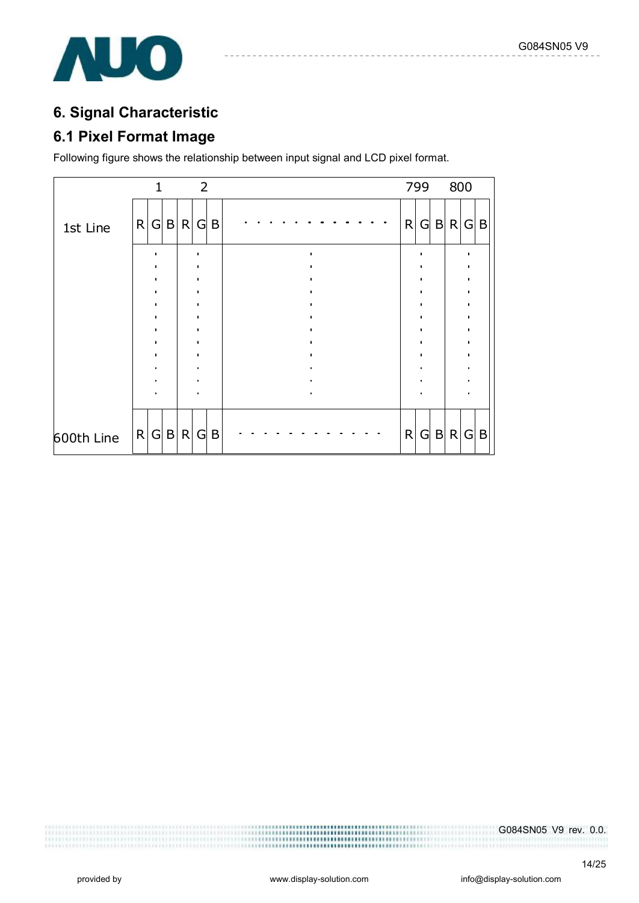

## **6. Signal Characteristic**

## **6.1 Pixel Format Image**

Following figure shows the relationship between input signal and LCD pixel format.

|            |   |   |              |   | $\overline{2}$ |   |              |   |             | 799 800 |   |   |
|------------|---|---|--------------|---|----------------|---|--------------|---|-------------|---------|---|---|
| 1st Line   | R | G | $\mathsf{B}$ |   | R G            | B | R            | G | $\mathsf B$ | R       | G | B |
|            |   |   |              |   |                |   |              |   |             |         |   |   |
|            |   |   |              |   |                |   |              |   |             |         |   |   |
|            |   |   |              |   |                |   |              |   |             |         |   |   |
|            |   |   |              |   |                |   |              |   |             |         |   |   |
|            |   |   |              |   |                |   |              |   |             |         |   |   |
|            |   |   |              |   |                |   |              |   |             |         |   |   |
|            |   |   |              |   |                |   |              |   |             |         |   |   |
|            |   |   |              |   |                |   |              |   |             |         |   |   |
|            |   |   |              |   |                |   |              |   |             |         |   |   |
| 600th Line | R | G | B            | R | $\mathsf{G}$   | B | $\mathsf{R}$ | G | $\sf B$     | R       | G | B |

G084SN05 V9 rev. 0.0.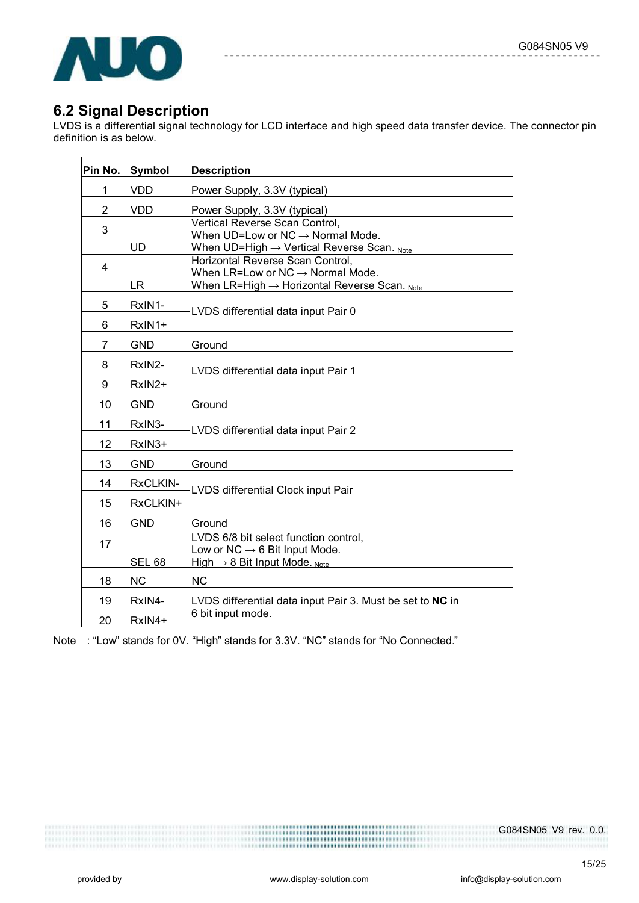

### **6.2 Signal Description**

LVDS is a differential signal technology for LCD interface and high speed data transfer device. The connector pin definition is as below.

| Pin No.        | Symbol        | <b>Description</b>                                                                                                                           |
|----------------|---------------|----------------------------------------------------------------------------------------------------------------------------------------------|
| 1              | VDD           | Power Supply, 3.3V (typical)                                                                                                                 |
| $\overline{2}$ | <b>VDD</b>    | Power Supply, 3.3V (typical)                                                                                                                 |
| 3              | <b>UD</b>     | Vertical Reverse Scan Control,<br>When $UD=Low$ or $NC \rightarrow Normal$ Mode.<br>When UD=High $\rightarrow$ Vertical Reverse Scan. Note   |
| $\overline{4}$ | LR.           | Horizontal Reverse Scan Control,<br>When LR=Low or $NC \rightarrow Normal$ Mode.<br>When LR=High $\rightarrow$ Horizontal Reverse Scan. Note |
| 5              | RxIN1-        | LVDS differential data input Pair 0                                                                                                          |
| 6              | RxIN1+        |                                                                                                                                              |
| 7              | <b>GND</b>    | Ground                                                                                                                                       |
| 8              | RxIN2-        | LVDS differential data input Pair 1                                                                                                          |
| 9              | RxIN2+        |                                                                                                                                              |
| 10             | <b>GND</b>    | Ground                                                                                                                                       |
| 11             | RxIN3-        | LVDS differential data input Pair 2                                                                                                          |
| 12             | RxIN3+        |                                                                                                                                              |
| 13             | <b>GND</b>    | Ground                                                                                                                                       |
| 14             | RxCLKIN-      | LVDS differential Clock input Pair                                                                                                           |
| 15             | RxCLKIN+      |                                                                                                                                              |
| 16             | <b>GND</b>    | Ground                                                                                                                                       |
| 17             | <b>SEL 68</b> | LVDS 6/8 bit select function control,<br>Low or NC $\rightarrow$ 6 Bit Input Mode.<br>High $\rightarrow$ 8 Bit Input Mode. Note              |
| 18             | <b>NC</b>     | <b>NC</b>                                                                                                                                    |
| 19             | RxIN4-        | LVDS differential data input Pair 3. Must be set to NC in                                                                                    |
| 20             | RxIN4+        | 6 bit input mode.                                                                                                                            |

Note : "Low" stands for 0V. "High" stands for 3.3V. "NC" stands for "No Connected."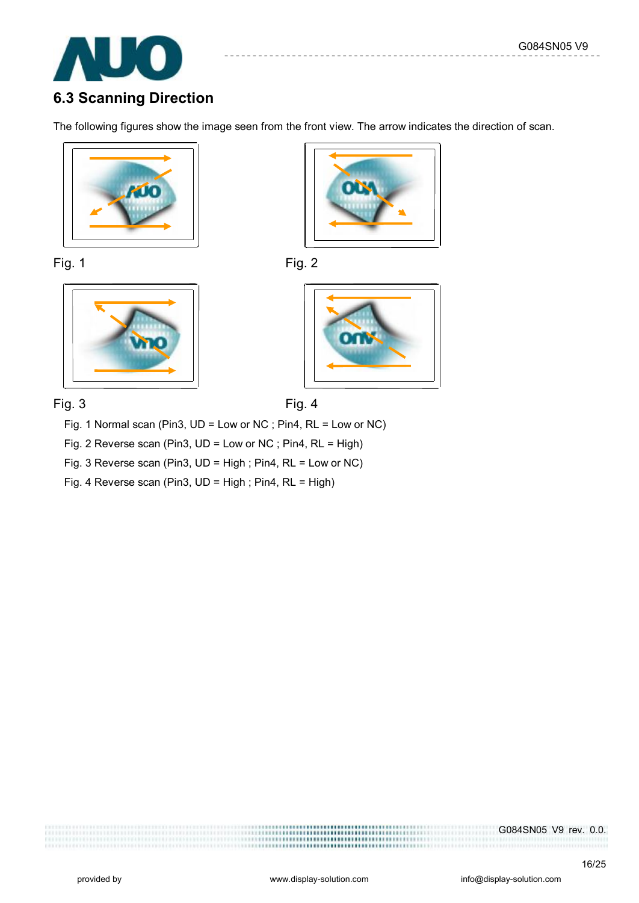

## **6.3 Scanning Direction**

The following figures show the image seen from the front view. The arrow indicates the direction of scan.











Fig. 3 Fig. 4



Fig. 1 Normal scan (Pin3, UD = Low or NC ; Pin4, RL = Low or NC)

Fig. 2 Reverse scan (Pin3, UD = Low or NC ; Pin4, RL = High)

Fig. 3 Reverse scan (Pin3, UD = High ; Pin4, RL = Low or NC)

Fig. 4 Reverse scan (Pin3, UD = High ; Pin4, RL = High)

G084SN05 V9 rev. 0.0.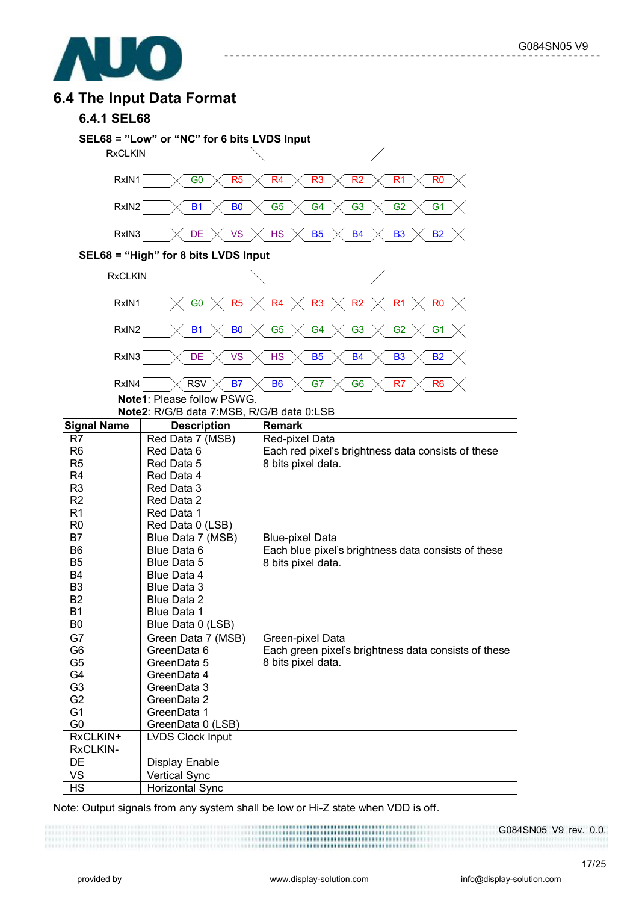

### **6.4 The Input Data Format**

#### **6.4.1 SEL68**



Note: Output signals from any system shall be low or Hi-Z state when VDD is off.

G084SN05 V9 rev. 0.0.

17/25

HS | Horizontal Sync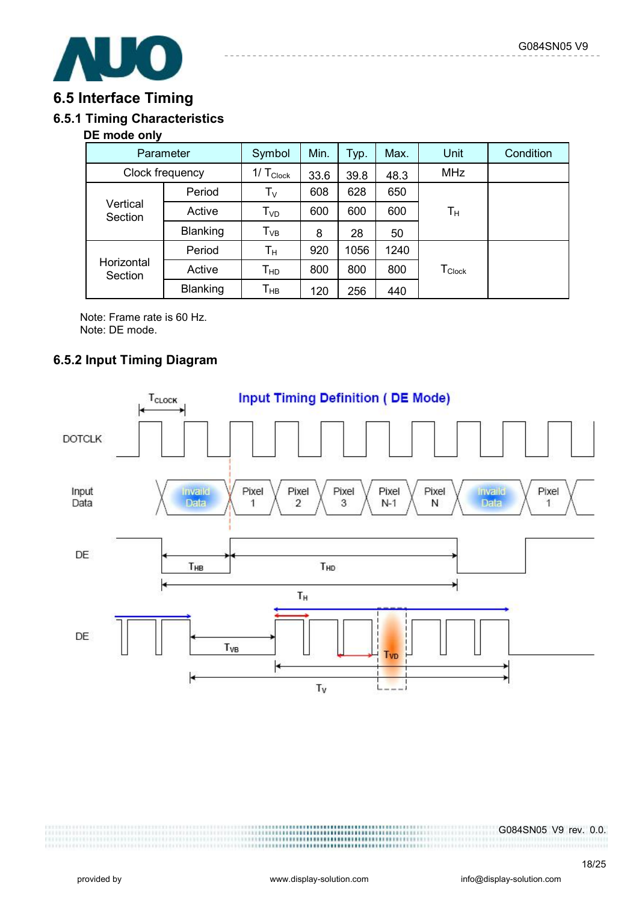

### **6.5 Interface Timing**

### **6.5.1 Timing Characteristics**

#### **DE mode only**

| Parameter             |                 | Symbol                     | Min. | Typ. | Max. | Unit                           | Condition |
|-----------------------|-----------------|----------------------------|------|------|------|--------------------------------|-----------|
| Clock frequency       |                 | $1/T_{Clock}$              | 33.6 | 39.8 | 48.3 | <b>MHz</b>                     |           |
| Vertical<br>Section   | Period          | $\mathsf{T}_{\mathsf{V}}$  | 608  | 628  | 650  |                                |           |
|                       | Active          | $\mathsf{T}_{\mathsf{VD}}$ | 600  | 600  | 600  | Tн                             |           |
|                       | Blanking        | $\mathsf{T}_{\mathsf{VB}}$ | 8    | 28   | 50   |                                |           |
| Horizontal<br>Section | Period          | $T_{\rm H}$                | 920  | 1056 | 1240 |                                |           |
|                       | Active          | $T_{HD}$                   | 800  | 800  | 800  | ${\mathsf T}_{\mathsf{Clock}}$ |           |
|                       | <b>Blanking</b> | Т <sub>нв</sub>            | 120  | 256  | 440  |                                |           |

Note: Frame rate is 60 Hz. Note: DE mode.

### **6.5.2 Input Timing Diagram**

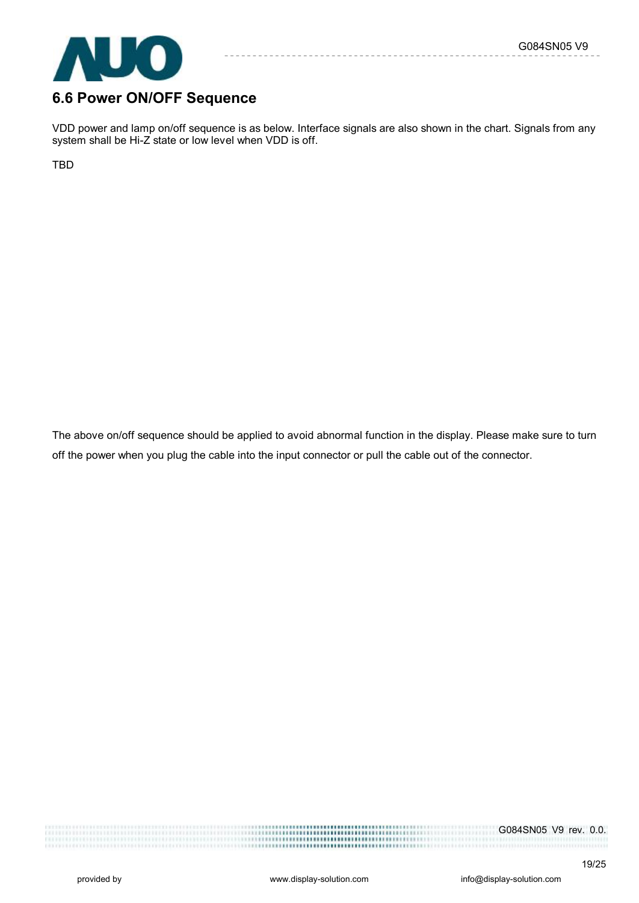

# **6.6 Power ON/OFF Sequence**

VDD power and lamp on/off sequence is as below. Interface signals are also shown in the chart. Signals from any system shall be Hi-Z state or low level when VDD is off.

TBD

The above on/off sequence should be applied to avoid abnormal function in the display. Please make sure to turn off the power when you plug the cable into the input connector or pull the cable out of the connector.

G084SN05 V9 rev. 0.0.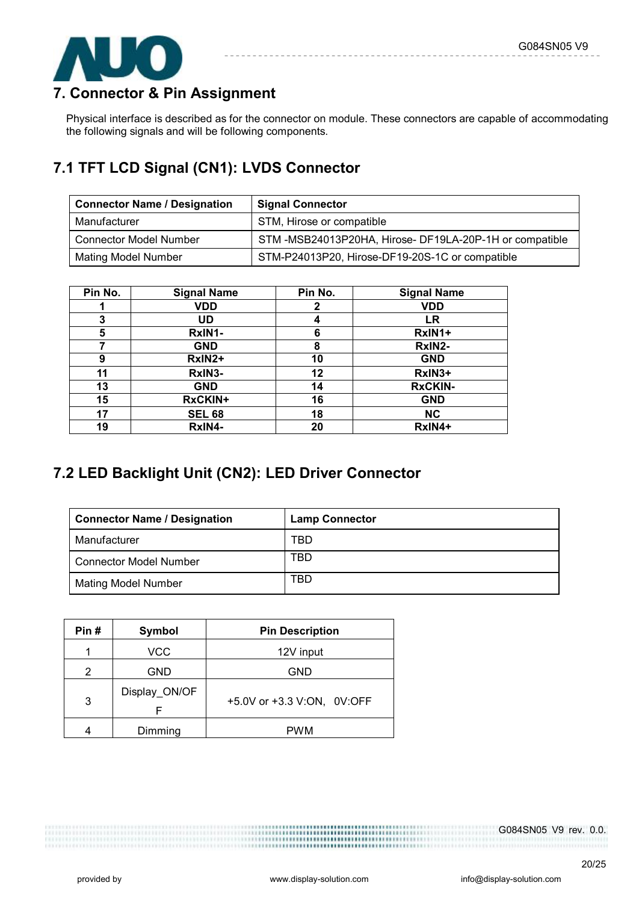

## **7. Connector & Pin Assignment**

Physical interface is described as for the connector on module. These connectors are capable of accommodating the following signals and will be following components.

## **7.1 TFT LCD Signal (CN1): LVDS Connector**

| <b>Connector Name / Designation</b> | <b>Signal Connector</b>                               |
|-------------------------------------|-------------------------------------------------------|
| Manufacturer                        | STM, Hirose or compatible                             |
| <b>Connector Model Number</b>       | STM-MSB24013P20HA, Hirose-DF19LA-20P-1H or compatible |
| <b>Mating Model Number</b>          | STM-P24013P20, Hirose-DF19-20S-1C or compatible       |

| Pin No. | <b>Signal Name</b> | Pin No. | <b>Signal Name</b> |
|---------|--------------------|---------|--------------------|
|         | <b>VDD</b>         | 2       | <b>VDD</b>         |
| 3       | UD                 | 4       | LR                 |
| 5       | RxIN1-             | 6       | RxIN1+             |
|         | <b>GND</b>         | 8       | RxIN2-             |
| 9       | RxIN2+             | 10      | <b>GND</b>         |
| 11      | RxIN3-             | 12      | RxIN3+             |
| 13      | <b>GND</b>         | 14      | <b>RxCKIN-</b>     |
| 15      | <b>RxCKIN+</b>     | 16      | <b>GND</b>         |
| 17      | <b>SEL 68</b>      | 18      | <b>NC</b>          |
| 19      | RxIN4-             | 20      | RxIN4+             |

## **7.2 LED Backlight Unit (CN2): LED Driver Connector**

| <b>Connector Name / Designation</b> | <b>Lamp Connector</b> |
|-------------------------------------|-----------------------|
| Manufacturer                        | TBD                   |
| <b>Connector Model Number</b>       | TBD                   |
| <b>Mating Model Number</b>          | TBD                   |

| Pin# | Symbol        | <b>Pin Description</b>     |
|------|---------------|----------------------------|
|      | VCC           | 12V input                  |
| 2    | <b>GND</b>    | <b>GND</b>                 |
| 3    | Display_ON/OF | +5.0V or +3.3 V:ON, 0V:OFF |
|      | Dimming       | <b>PWM</b>                 |

G084SN05 V9 rev. 0.0.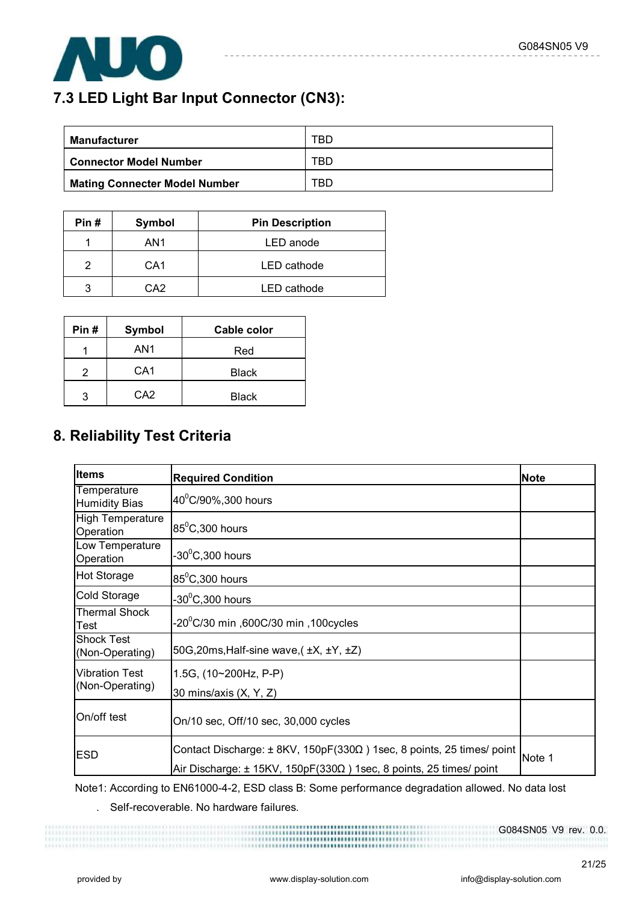

## **7.3 LED Light Bar Input Connector (CN3):**

| Manufacturer                         | TBD |
|--------------------------------------|-----|
| <b>Connector Model Number</b>        | TBD |
| <b>Mating Connecter Model Number</b> | TBD |

----------

 $- - - - - -$ 

| Pin# | Symbol          | <b>Pin Description</b> |
|------|-----------------|------------------------|
|      | AN1             | LED anode              |
|      | CA <sub>1</sub> | LED cathode            |
| ว    | CA <sub>2</sub> | LED cathode            |

| Pin# | <b>Symbol</b>   | Cable color  |
|------|-----------------|--------------|
|      | AN1             | Red          |
| 2    | CA <sub>1</sub> | <b>Black</b> |
| 3    | CA <sub>2</sub> | <b>Black</b> |

## **8. Reliability Test Criteria**

| <b>Items</b>                         | <b>Required Condition</b>                                                                                                                                | <b>Note</b> |
|--------------------------------------|----------------------------------------------------------------------------------------------------------------------------------------------------------|-------------|
| Temperature<br><b>Humidity Bias</b>  | $40^{\circ}$ C/90%, 300 hours                                                                                                                            |             |
| <b>High Temperature</b><br>Operation | $85^{\circ}$ C,300 hours                                                                                                                                 |             |
| Low Temperature<br>Operation         | $-30^0$ C,300 hours                                                                                                                                      |             |
| <b>Hot Storage</b>                   | $85^0$ C,300 hours                                                                                                                                       |             |
| Cold Storage                         | $-30^0$ C,300 hours                                                                                                                                      |             |
| <b>Thermal Shock</b><br>Test         | .20 $^0$ C/30 min ,600C/30 min ,100cycles                                                                                                                |             |
| <b>Shock Test</b><br>(Non-Operating) | 50G, 20ms, Half-sine wave, $(\pm X, \pm Y, \pm Z)$                                                                                                       |             |
| <b>Vibration Test</b>                | 1.5G, (10~200Hz, P-P)                                                                                                                                    |             |
| (Non-Operating)                      | 30 mins/axis (X, Y, Z)                                                                                                                                   |             |
| On/off test                          | On/10 sec, Off/10 sec, 30,000 cycles                                                                                                                     |             |
| <b>ESD</b>                           | Contact Discharge: ± 8KV, 150pF(330Ω) 1sec, 8 points, 25 times/ point<br>Air Discharge: $\pm$ 15KV, 150pF(330 $\Omega$ ) 1sec, 8 points, 25 times/ point | Note 1      |

 Note1: According to EN61000-4-2, ESD class B: Some performance degradation allowed. No data lost . Self-recoverable. No hardware failures.

G084SN05 V9 rev. 0.0.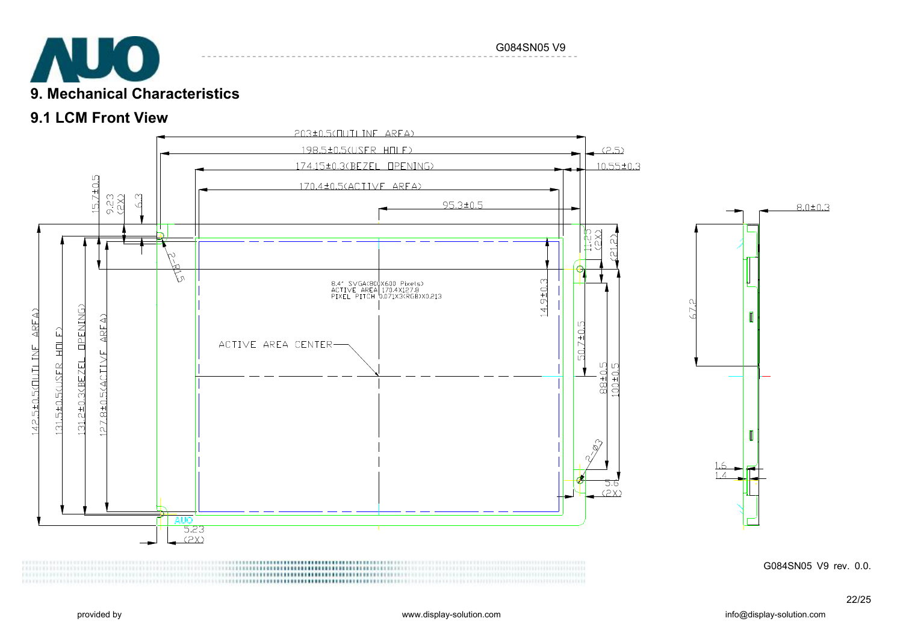

#### G084SN05 V9

## **9.1 LCM Front View**



G084SN05 V9 rev. 0.0.

 $8.0 \pm 0.3$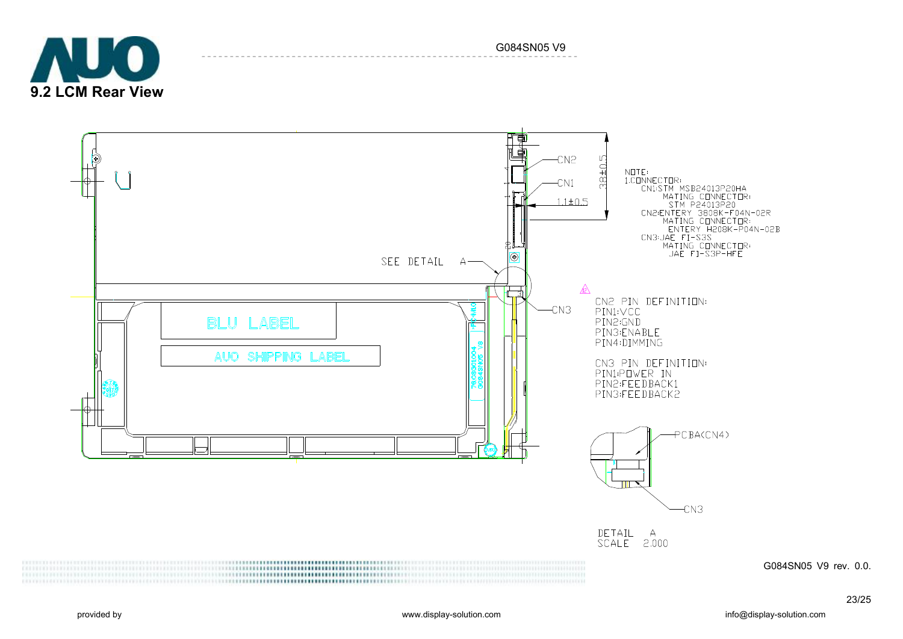



G084SN05 V9

G084SN05 V9 rev. 0.0.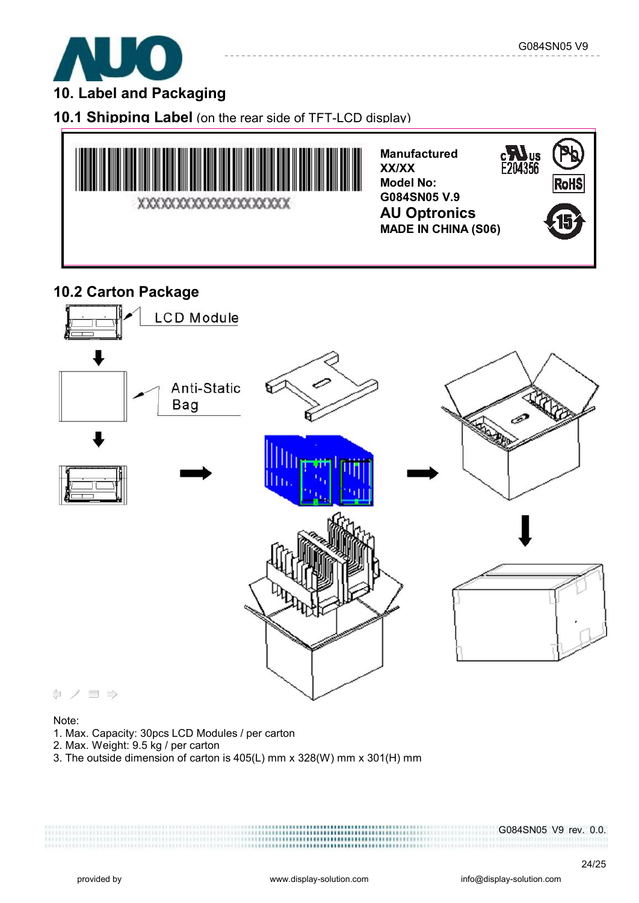

## **10. Label and Packaging**

**10.1 Shipping Label** (on the rear side of TFT-LCD display)



**Manufactured XX/XX Model No: G084SN05 V.9 AU Optronics MADE IN CHINA (S06)** 

---------



## **10.2 Carton Package**



#### Note:

- 1. Max. Capacity: 30pcs LCD Modules / per carton
- 2. Max. Weight: 9.5 kg / per carton
- 3. The outside dimension of carton is 405(L) mm x 328(W) mm x 301(H) mm